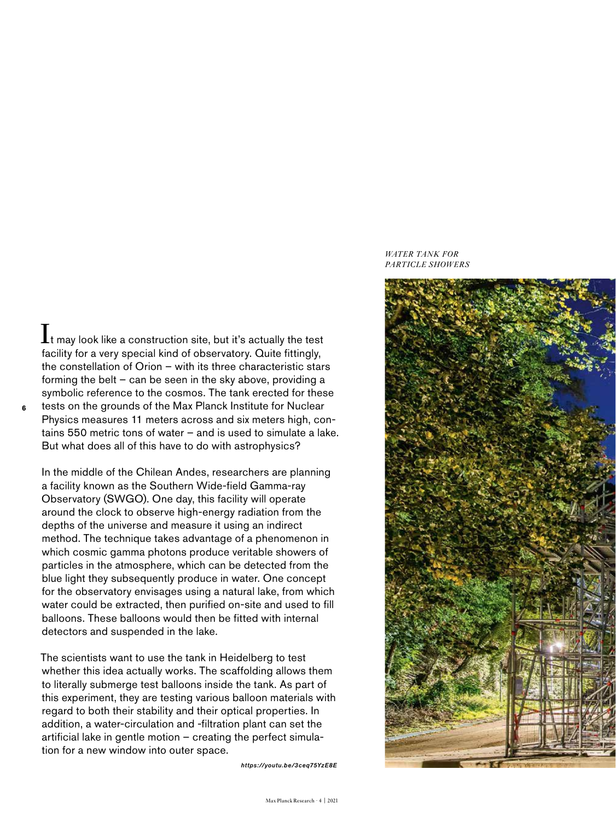$\mathbf I$ t may look like a construction site, but it's actually the test facility for a very special kind of observatory. Quite fittingly, the constellation of Orion – with its three characteristic stars forming the belt – can be seen in the sky above, providing a symbolic reference to the cosmos. The tank erected for these tests on the grounds of the Max Planck Institute for Nuclear Physics measures 11 meters across and six meters high, contains 550 metric tons of water – and is used to simulate a lake. But what does all of this have to do with astrophysics?

**6**

In the middle of the Chilean Andes, researchers are planning a facility known as the Southern Wide-field Gamma-ray Observatory (SWGO). One day, this facility will operate around the clock to observe high-energy radiation from the depths of the universe and measure it using an indirect method. The technique takes advantage of a phenomenon in which cosmic gamma photons produce veritable showers of particles in the atmosphere, which can be detected from the blue light they subsequently produce in water. One concept for the observatory envisages using a natural lake, from which water could be extracted, then purified on-site and used to fill balloons. These balloons would then be fitted with internal detectors and suspended in the lake.

The scientists want to use the tank in Heidelberg to test whether this idea actually works. The scaffolding allows them to literally submerge test balloons inside the tank. As part of this experiment, they are testing various balloon materials with regard to both their stability and their optical properties. In addition, a water-circulation and -filtration plant can set the artificial lake in gentle motion – creating the perfect simulation for a new window into outer space.

*https://youtu.be/3ceq75YzE8E*

## *WATER TANK FOR PARTICLE SHOWERS*